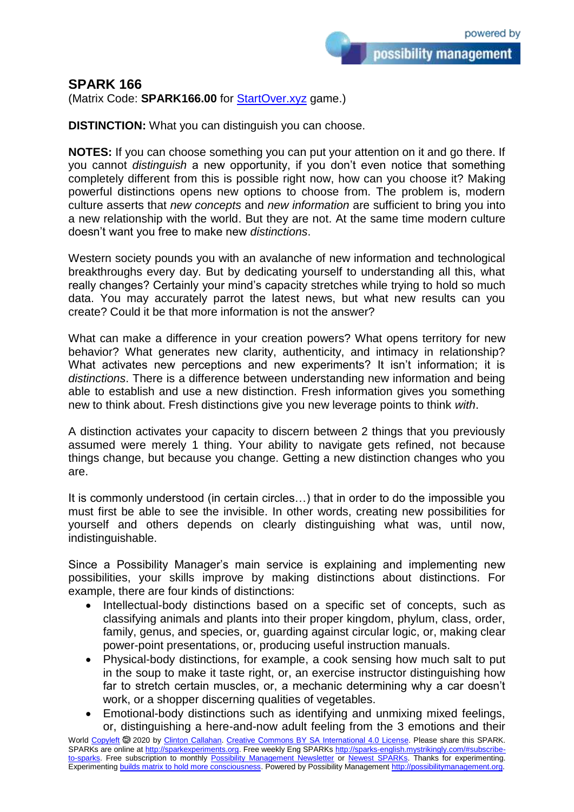## **SPARK 166**

(Matrix Code: **SPARK166.00** for [StartOver.xyz](https://startoverxyz.mystrikingly.com/) game.)

**DISTINCTION:** What you can distinguish you can choose.

**NOTES:** If you can choose something you can put your attention on it and go there. If you cannot *distinguish* a new opportunity, if you don't even notice that something completely different from this is possible right now, how can you choose it? Making powerful distinctions opens new options to choose from. The problem is, modern culture asserts that *new concepts* and *new information* are sufficient to bring you into a new relationship with the world. But they are not. At the same time modern culture doesn't want you free to make new *distinctions*.

Western society pounds you with an avalanche of new information and technological breakthroughs every day. But by dedicating yourself to understanding all this, what really changes? Certainly your mind's capacity stretches while trying to hold so much data. You may accurately parrot the latest news, but what new results can you create? Could it be that more information is not the answer?

What can make a difference in your creation powers? What opens territory for new behavior? What generates new clarity, authenticity, and intimacy in relationship? What activates new perceptions and new experiments? It isn't information; it is *distinctions*. There is a difference between understanding new information and being able to establish and use a new distinction. Fresh information gives you something new to think about. Fresh distinctions give you new leverage points to think *with*.

A distinction activates your capacity to discern between 2 things that you previously assumed were merely 1 thing. Your ability to navigate gets refined, not because things change, but because you change. Getting a new distinction changes who you are.

It is commonly understood (in certain circles…) that in order to do the impossible you must first be able to see the invisible. In other words, creating new possibilities for yourself and others depends on clearly distinguishing what was, until now, indistinguishable.

Since a Possibility Manager's main service is explaining and implementing new possibilities, your skills improve by making distinctions about distinctions. For example, there are four kinds of distinctions:

- Intellectual-body distinctions based on a specific set of concepts, such as classifying animals and plants into their proper kingdom, phylum, class, order, family, genus, and species, or, guarding against circular logic, or, making clear power-point presentations, or, producing useful instruction manuals.
- Physical-body distinctions, for example, a cook sensing how much salt to put in the soup to make it taste right, or, an exercise instructor distinguishing how far to stretch certain muscles, or, a mechanic determining why a car doesn't work, or a shopper discerning qualities of vegetables.
- Emotional-body distinctions such as identifying and unmixing mixed feelings, or, distinguishing a here-and-now adult feeling from the 3 emotions and their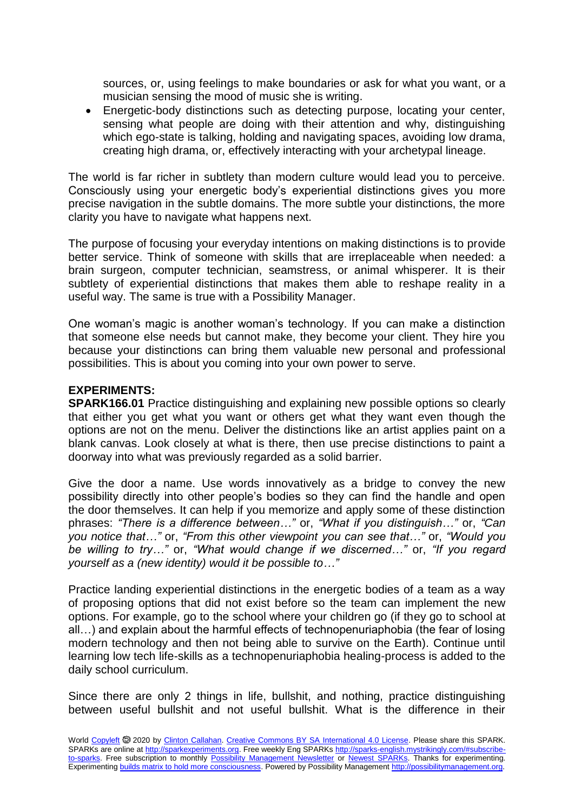sources, or, using feelings to make boundaries or ask for what you want, or a musician sensing the mood of music she is writing.

 Energetic-body distinctions such as detecting purpose, locating your center, sensing what people are doing with their attention and why, distinguishing which ego-state is talking, holding and navigating spaces, avoiding low drama, creating high drama, or, effectively interacting with your archetypal lineage.

The world is far richer in subtlety than modern culture would lead you to perceive. Consciously using your energetic body's experiential distinctions gives you more precise navigation in the subtle domains. The more subtle your distinctions, the more clarity you have to navigate what happens next.

The purpose of focusing your everyday intentions on making distinctions is to provide better service. Think of someone with skills that are irreplaceable when needed: a brain surgeon, computer technician, seamstress, or animal whisperer. It is their subtlety of experiential distinctions that makes them able to reshape reality in a useful way. The same is true with a Possibility Manager.

One woman's magic is another woman's technology. If you can make a distinction that someone else needs but cannot make, they become your client. They hire you because your distinctions can bring them valuable new personal and professional possibilities. This is about you coming into your own power to serve.

## **EXPERIMENTS:**

**SPARK166.01** Practice distinguishing and explaining new possible options so clearly that either you get what you want or others get what they want even though the options are not on the menu. Deliver the distinctions like an artist applies paint on a blank canvas. Look closely at what is there, then use precise distinctions to paint a doorway into what was previously regarded as a solid barrier.

Give the door a name. Use words innovatively as a bridge to convey the new possibility directly into other people's bodies so they can find the handle and open the door themselves. It can help if you memorize and apply some of these distinction phrases: *"There is a difference between…"* or, *"What if you distinguish…"* or, *"Can you notice that…"* or, *"From this other viewpoint you can see that…"* or, *"Would you be willing to try…"* or, *"What would change if we discerned…"* or, *"If you regard yourself as a (new identity) would it be possible to…"*

Practice landing experiential distinctions in the energetic bodies of a team as a way of proposing options that did not exist before so the team can implement the new options. For example, go to the school where your children go (if they go to school at all…) and explain about the harmful effects of technopenuriaphobia (the fear of losing modern technology and then not being able to survive on the Earth). Continue until learning low tech life-skills as a technopenuriaphobia healing-process is added to the daily school curriculum.

Since there are only 2 things in life, bullshit, and nothing, practice distinguishing between useful bullshit and not useful bullshit. What is the difference in their